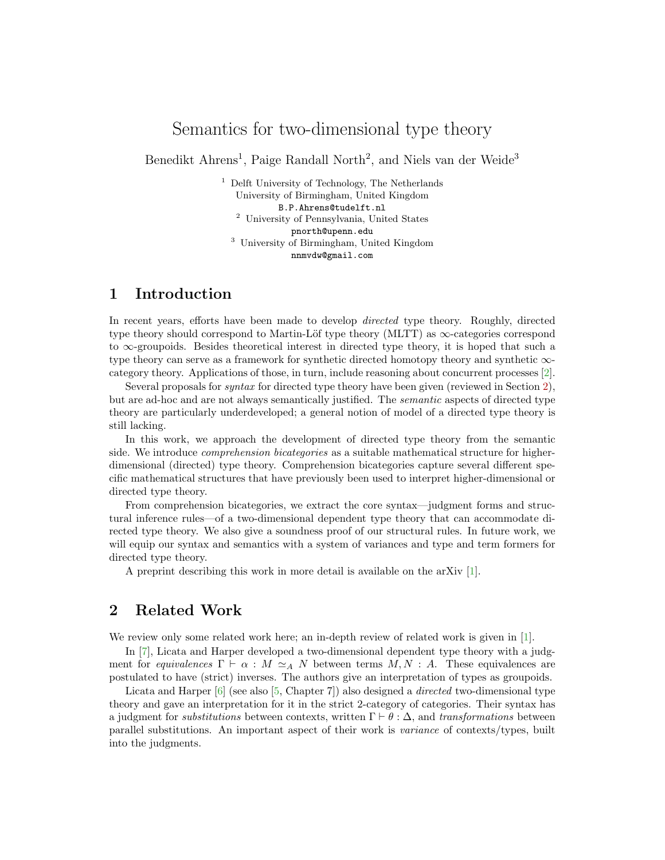# Semantics for two-dimensional type theory

Benedikt Ahrens<sup>1</sup>, Paige Randall North<sup>2</sup>, and Niels van der Weide<sup>3</sup>

 $^{\rm 1}$  Delft University of Technology, The Netherlands University of Birmingham, United Kingdom B.P.Ahrens@tudelft.nl <sup>2</sup> University of Pennsylvania, United States pnorth@upenn.edu <sup>3</sup> University of Birmingham, United Kingdom nnmvdw@gmail.com

## 1 Introduction

In recent years, efforts have been made to develop directed type theory. Roughly, directed type theory should correspond to Martin-Löf type theory (MLTT) as  $\infty$ -categories correspond to ∞-groupoids. Besides theoretical interest in directed type theory, it is hoped that such a type theory can serve as a framework for synthetic directed homotopy theory and synthetic ∞ category theory. Applications of those, in turn, include reasoning about concurrent processes [\[2\]](#page-2-0).

Several proposals for syntax for directed type theory have been given (reviewed in Section [2\)](#page-0-0), but are ad-hoc and are not always semantically justified. The semantic aspects of directed type theory are particularly underdeveloped; a general notion of model of a directed type theory is still lacking.

In this work, we approach the development of directed type theory from the semantic side. We introduce *comprehension bicategories* as a suitable mathematical structure for higherdimensional (directed) type theory. Comprehension bicategories capture several different specific mathematical structures that have previously been used to interpret higher-dimensional or directed type theory.

From comprehension bicategories, we extract the core syntax—judgment forms and structural inference rules—of a two-dimensional dependent type theory that can accommodate directed type theory. We also give a soundness proof of our structural rules. In future work, we will equip our syntax and semantics with a system of variances and type and term formers for directed type theory.

A preprint describing this work in more detail is available on the arXiv [\[1\]](#page-2-1).

## <span id="page-0-0"></span>2 Related Work

We review only some related work here; an in-depth review of related work is given in [\[1\]](#page-2-1).

In [\[7\]](#page-2-2), Licata and Harper developed a two-dimensional dependent type theory with a judgment for equivalences  $\Gamma \vdash \alpha : M \simeq_A N$  between terms  $M, N : A$ . These equivalences are postulated to have (strict) inverses. The authors give an interpretation of types as groupoids.

Licata and Harper  $[6]$  (see also  $[5,$  Chapter 7) also designed a *directed* two-dimensional type theory and gave an interpretation for it in the strict 2-category of categories. Their syntax has a judgment for *substitutions* between contexts, written  $\Gamma \vdash \theta : \Delta$ , and transformations between parallel substitutions. An important aspect of their work is variance of contexts/types, built into the judgments.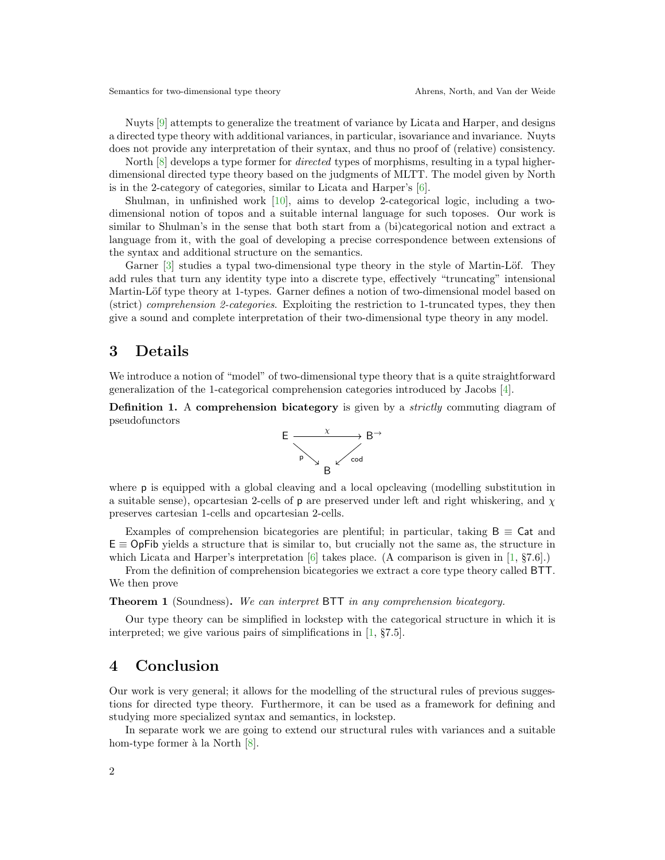Nuyts [\[9\]](#page-2-5) attempts to generalize the treatment of variance by Licata and Harper, and designs a directed type theory with additional variances, in particular, isovariance and invariance. Nuyts does not provide any interpretation of their syntax, and thus no proof of (relative) consistency.

North  $[8]$  develops a type former for *directed* types of morphisms, resulting in a typal higherdimensional directed type theory based on the judgments of MLTT. The model given by North is in the 2-category of categories, similar to Licata and Harper's  $[6]$ .

Shulman, in unfinished work [\[10\]](#page-2-7), aims to develop 2-categorical logic, including a twodimensional notion of topos and a suitable internal language for such toposes. Our work is similar to Shulman's in the sense that both start from a (bi)categorical notion and extract a language from it, with the goal of developing a precise correspondence between extensions of the syntax and additional structure on the semantics.

Garner [\[3\]](#page-2-8) studies a typal two-dimensional type theory in the style of Martin-Löf. They add rules that turn any identity type into a discrete type, effectively "truncating" intensional Martin-Löf type theory at 1-types. Garner defines a notion of two-dimensional model based on (strict) comprehension 2-categories. Exploiting the restriction to 1-truncated types, they then give a sound and complete interpretation of their two-dimensional type theory in any model.

### 3 Details

We introduce a notion of "model" of two-dimensional type theory that is a quite straightforward generalization of the 1-categorical comprehension categories introduced by Jacobs [\[4\]](#page-2-9).

**Definition 1.** A comprehension bicategory is given by a *strictly* commuting diagram of pseudofunctors



where p is equipped with a global cleaving and a local opcleaving (modelling substitution in a suitable sense), opcartesian 2-cells of **p** are preserved under left and right whiskering, and  $\chi$ preserves cartesian 1-cells and opcartesian 2-cells.

Examples of comprehension bicategories are plentiful; in particular, taking  $B \equiv \text{Cat}$  and  $E \equiv$  OpFib yields a structure that is similar to, but crucially not the same as, the structure in which Licata and Harper's interpretation  $[6]$  takes place. (A comparison is given in  $[1, \, §7.6]$ .)

From the definition of comprehension bicategories we extract a core type theory called BTT. We then prove

Theorem 1 (Soundness). We can interpret BTT in any comprehension bicategory.

Our type theory can be simplified in lockstep with the categorical structure in which it is interpreted; we give various pairs of simplifications in [\[1,](#page-2-1) §7.5].

#### 4 Conclusion

Our work is very general; it allows for the modelling of the structural rules of previous suggestions for directed type theory. Furthermore, it can be used as a framework for defining and studying more specialized syntax and semantics, in lockstep.

In separate work we are going to extend our structural rules with variances and a suitable hom-type former à la North  $[8]$ .